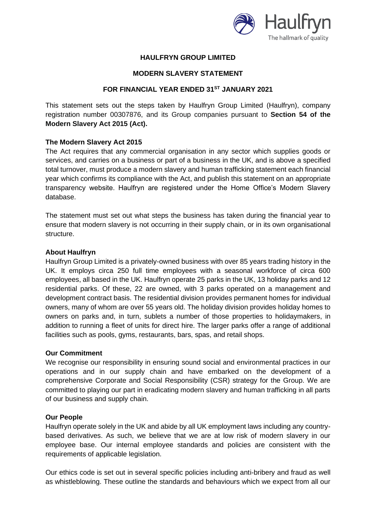

# **HAULFRYN GROUP LIMITED**

### **MODERN SLAVERY STATEMENT**

## **FOR FINANCIAL YEAR ENDED 31ST JANUARY 2021**

This statement sets out the steps taken by Haulfryn Group Limited (Haulfryn), company registration number 00307876, and its Group companies pursuant to **Section 54 of the Modern Slavery Act 2015 (Act).**

### **The Modern Slavery Act 2015**

The Act requires that any commercial organisation in any sector which supplies goods or services, and carries on a business or part of a business in the UK, and is above a specified total turnover, must produce a modern slavery and human trafficking statement each financial year which confirms its compliance with the Act, and publish this statement on an appropriate transparency website. Haulfryn are registered under the Home Office's Modern Slavery database.

The statement must set out what steps the business has taken during the financial year to ensure that modern slavery is not occurring in their supply chain, or in its own organisational structure.

### **About Haulfryn**

Haulfryn Group Limited is a privately-owned business with over 85 years trading history in the UK. It employs circa 250 full time employees with a seasonal workforce of circa 600 employees, all based in the UK. Haulfryn operate 25 parks in the UK, 13 holiday parks and 12 residential parks. Of these, 22 are owned, with 3 parks operated on a management and development contract basis. The residential division provides permanent homes for individual owners, many of whom are over 55 years old. The holiday division provides holiday homes to owners on parks and, in turn, sublets a number of those properties to holidaymakers, in addition to running a fleet of units for direct hire. The larger parks offer a range of additional facilities such as pools, gyms, restaurants, bars, spas, and retail shops.

### **Our Commitment**

We recognise our responsibility in ensuring sound social and environmental practices in our operations and in our supply chain and have embarked on the development of a comprehensive Corporate and Social Responsibility (CSR) strategy for the Group. We are committed to playing our part in eradicating modern slavery and human trafficking in all parts of our business and supply chain.

### **Our People**

Haulfryn operate solely in the UK and abide by all UK employment laws including any countrybased derivatives. As such, we believe that we are at low risk of modern slavery in our employee base. Our internal employee standards and policies are consistent with the requirements of applicable legislation.

Our ethics code is set out in several specific policies including anti-bribery and fraud as well as whistleblowing. These outline the standards and behaviours which we expect from all our